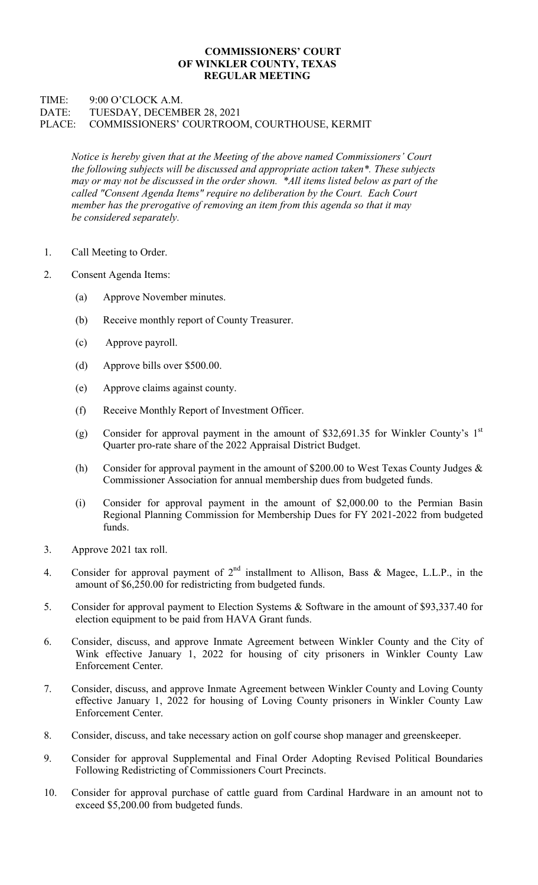## COMMISSIONERS' COURT OF WINKLER COUNTY, TEXAS REGULAR MEETING

## TIME: 9:00 O'CLOCK A.M. DATE: TUESDAY, DECEMBER 28, 2021 PLACE: COMMISSIONERS' COURTROOM, COURTHOUSE, KERMIT

Notice is hereby given that at the Meeting of the above named Commissioners' Court the following subjects will be discussed and appropriate action taken\*. These subjects may or may not be discussed in the order shown. \*All items listed below as part of the called "Consent Agenda Items" require no deliberation by the Court. Each Court member has the prerogative of removing an item from this agenda so that it may be considered separately.

- 1. Call Meeting to Order.
- 2. Consent Agenda Items:
	- (a) Approve November minutes.
	- (b) Receive monthly report of County Treasurer.
	- (c) Approve payroll.
	- (d) Approve bills over \$500.00.
	- (e) Approve claims against county.
	- (f) Receive Monthly Report of Investment Officer.
	- (g) Consider for approval payment in the amount of \$32,691.35 for Winkler County's  $1<sup>st</sup>$ Quarter pro-rate share of the 2022 Appraisal District Budget.
	- (h) Consider for approval payment in the amount of \$200.00 to West Texas County Judges & Commissioner Association for annual membership dues from budgeted funds.
	- (i) Consider for approval payment in the amount of \$2,000.00 to the Permian Basin Regional Planning Commission for Membership Dues for FY 2021-2022 from budgeted funds.
- 3. Approve 2021 tax roll.
- 4. Consider for approval payment of  $2<sup>nd</sup>$  installment to Allison, Bass & Magee, L.L.P., in the amount of \$6,250.00 for redistricting from budgeted funds.
- 5. Consider for approval payment to Election Systems & Software in the amount of \$93,337.40 for election equipment to be paid from HAVA Grant funds.
- 6. Consider, discuss, and approve Inmate Agreement between Winkler County and the City of Wink effective January 1, 2022 for housing of city prisoners in Winkler County Law Enforcement Center.
- 7. Consider, discuss, and approve Inmate Agreement between Winkler County and Loving County effective January 1, 2022 for housing of Loving County prisoners in Winkler County Law Enforcement Center.
- 8. Consider, discuss, and take necessary action on golf course shop manager and greenskeeper.
- 9. Consider for approval Supplemental and Final Order Adopting Revised Political Boundaries Following Redistricting of Commissioners Court Precincts.
- 10. Consider for approval purchase of cattle guard from Cardinal Hardware in an amount not to exceed \$5,200.00 from budgeted funds.